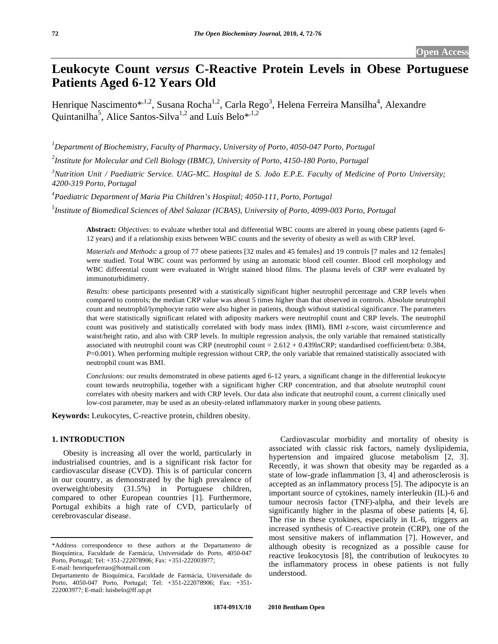# **Leukocyte Count** *versus* **C-Reactive Protein Levels in Obese Portuguese Patients Aged 6-12 Years Old**

Henrique Nascimento\*<sup>,1,2</sup>, Susana Rocha<sup>1,2</sup>, Carla Rego<sup>3</sup>, Helena Ferreira Mansilha<sup>4</sup>, Alexandre Quintanilha<sup>5</sup>, Alice Santos-Silva<sup>1,2</sup> and Luís Belo<sup>\*,1,2</sup>

*1 Department of Biochemistry, Faculty of Pharmacy, University of Porto, 4050-047 Porto, Portugal* 

*2 Institute for Molecular and Cell Biology (IBMC), University of Porto, 4150-180 Porto, Portugal* 

<sup>3</sup> Nutrition Unit / Paediatric Service. UAG-MC. Hospital de S. João E.P.E. Faculty of Medicine of Porto University; *4200-319 Porto, Portugal*

*4 Paediatric Department of Maria Pia Children's Hospital; 4050-111, Porto, Portugal* 

*5 Institute of Biomedical Sciences of Abel Salazar (ICBAS), University of Porto, 4099-003 Porto, Portugal* 

**Abstract:** *Objectives*: to evaluate whether total and differential WBC counts are altered in young obese patients (aged 6- 12 years) and if a relationship exists between WBC counts and the severity of obesity as well as with CRP level.

*Materials and Methods*: a group of 77 obese patients [32 males and 45 females] and 19 controls [7 males and 12 females] were studied. Total WBC count was performed by using an automatic blood cell counter. Blood cell morphology and WBC differential count were evaluated in Wright stained blood films. The plasma levels of CRP were evaluated by immunoturbidimetry.

*Results*: obese participants presented with a statistically significant higher neutrophil percentage and CRP levels when compared to controls; the median CRP value was about 5 times higher than that observed in controls. Absolute neutrophil count and neutrophil/lymphocyte ratio were also higher in patients, though without statistical significance. The parameters that were statistically significant related with adiposity markers were neutrophil count and CRP levels. The neutrophil count was positively and statistically correlated with body mass index (BMI), BMI z-score, waist circumference and waist/height ratio, and also with CRP levels. In multiple regression analysis, the only variable that remained statistically associated with neutrophil count was CRP (neutrophil count = 2.612 + 0.439lnCRP; standardised coefficient/beta: 0.384, *P*=0.001). When performing multiple regression without CRP, the only variable that remained statistically associated with neutrophil count was BMI.

*Conclusions*: our results demonstrated in obese patients aged 6-12 years, a significant change in the differential leukocyte count towards neutrophilia, together with a significant higher CRP concentration, and that absolute neutrophil count correlates with obesity markers and with CRP levels. Our data also indicate that neutrophil count, a current clinically used low-cost parameter, may be used as an obesity-related inflammatory marker in young obese patients.

**Keywords:** Leukocytes, C-reactive protein, children obesity.

# **1. INTRODUCTION**

 Obesity is increasing all over the world, particularly in industrialised countries, and is a significant risk factor for cardiovascular disease (CVD). This is of particular concern in our country, as demonstrated by the high prevalence of overweight/obesity (31.5%) in Portuguese children, compared to other European countries [1]. Furthermore, Portugal exhibits a high rate of CVD, particularly of cerebrovascular disease.

 Cardiovascular morbidity and mortality of obesity is associated with classic risk factors, namely dyslipidemia, hypertension and impaired glucose metabolism [2, 3]. Recently, it was shown that obesity may be regarded as a state of low-grade inflammation [3, 4] and atherosclerosis is accepted as an inflammatory process [5]. The adipocyte is an important source of cytokines, namely interleukin (IL)-6 and tumour necrosis factor (TNF)-alpha, and their levels are significantly higher in the plasma of obese patients [4, 6]. The rise in these cytokines, especially in IL-6, triggers an increased synthesis of C-reactive protein (CRP), one of the most sensitive makers of inflammation [7]. However, and although obesity is recognized as a possible cause for reactive leukocytosis [8], the contribution of leukocytes to the inflammatory process in obese patients is not fully understood.

<sup>\*</sup>Address correspondence to these authors at the Departamento de Bioquímica, Faculdade de Farmácia, Universidade do Porto, 4050-047 Porto, Portugal; Tel: +351-222078906; Fax: +351-222003977; E-mail: henriqueferrao@hotmail.com

Departamento de Bioquímica, Faculdade de Farmácia, Universidade do Porto, 4050-047 Porto, Portugal; Tel: +351-222078906; Fax: +351- 222003977; E-mail: luisbelo@ff.up.pt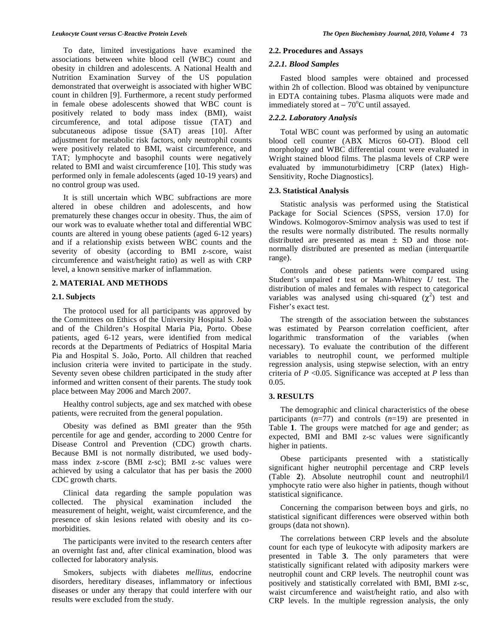To date, limited investigations have examined the associations between white blood cell (WBC) count and obesity in children and adolescents. A National Health and Nutrition Examination Survey of the US population demonstrated that overweight is associated with higher WBC count in children [9]. Furthermore, a recent study performed in female obese adolescents showed that WBC count is positively related to body mass index (BMI), waist circumference, and total adipose tissue (TAT) and subcutaneous adipose tissue (SAT) areas [10]. After adjustment for metabolic risk factors, only neutrophil counts were positively related to BMI, waist circumference, and TAT; lymphocyte and basophil counts were negatively related to BMI and waist circumference [10]. This study was performed only in female adolescents (aged 10-19 years) and no control group was used.

 It is still uncertain which WBC subfractions are more altered in obese children and adolescents, and how prematurely these changes occur in obesity. Thus, the aim of our work was to evaluate whether total and differential WBC counts are altered in young obese patients (aged 6-12 years) and if a relationship exists between WBC counts and the severity of obesity (according to BMI z-score, waist circumference and waist/height ratio) as well as with CRP level, a known sensitive marker of inflammation.

## **2. MATERIAL AND METHODS**

### **2.1. Subjects**

 The protocol used for all participants was approved by the Committees on Ethics of the University Hospital S. João and of the Children's Hospital Maria Pia, Porto. Obese patients, aged 6-12 years, were identified from medical records at the Departments of Pediatrics of Hospital Maria Pia and Hospital S. João, Porto. All children that reached inclusion criteria were invited to participate in the study. Seventy seven obese children participated in the study after informed and written consent of their parents. The study took place between May 2006 and March 2007.

 Healthy control subjects, age and sex matched with obese patients, were recruited from the general population.

 Obesity was defined as BMI greater than the 95th percentile for age and gender, according to 2000 Centre for Disease Control and Prevention (CDC) growth charts. Because BMI is not normally distributed, we used bodymass index z-score (BMI z-sc); BMI z-sc values were achieved by using a calculator that has per basis the 2000 CDC growth charts.

 Clinical data regarding the sample population was collected. The physical examination included the measurement of height, weight, waist circumference, and the presence of skin lesions related with obesity and its comorbidities.

 The participants were invited to the research centers after an overnight fast and, after clinical examination, blood was collected for laboratory analysis.

 Smokers, subjects with diabetes *mellitus*, endocrine disorders, hereditary diseases, inflammatory or infectious diseases or under any therapy that could interfere with our results were excluded from the study.

#### **2.2. Procedures and Assays**

#### *2.2.1. Blood Samples*

 Fasted blood samples were obtained and processed within 2h of collection. Blood was obtained by venipuncture in EDTA containing tubes. Plasma aliquots were made and immediately stored at  $-70^{\circ}$ C until assayed.

## *2.2.2. Laboratory Analysis*

 Total WBC count was performed by using an automatic blood cell counter (ABX Micros 60-OT). Blood cell morphology and WBC differential count were evaluated in Wright stained blood films. The plasma levels of CRP were evaluated by immunoturbidimetry [CRP (latex) High-Sensitivity, Roche Diagnostics].

#### **2.3. Statistical Analysis**

 Statistic analysis was performed using the Statistical Package for Social Sciences (SPSS, version 17.0) for Windows. Kolmogorov-Smirnov analysis was used to test if the results were normally distributed. The results normally distributed are presented as mean ± SD and those notnormally distributed are presented as median (interquartile range).

 Controls and obese patients were compared using Student's unpaired *t* test or Mann-Whitney *U* test. The distribution of males and females with respect to categorical variables was analysed using chi-squared  $(\chi^2)$  test and Fisher's exact test.

 The strength of the association between the substances was estimated by Pearson correlation coefficient, after logarithmic transformation of the variables (when necessary). To evaluate the contribution of the different variables to neutrophil count, we performed multiple regression analysis, using stepwise selection, with an entry criteria of  $P \le 0.05$ . Significance was accepted at  $P$  less than 0.05.

#### **3. RESULTS**

 The demographic and clinical characteristics of the obese participants (*n*=77) and controls (*n*=19) are presented in Table **1**. The groups were matched for age and gender; as expected, BMI and BMI z-sc values were significantly higher in patients.

 Obese participants presented with a statistically significant higher neutrophil percentage and CRP levels (Table **2**). Absolute neutrophil count and neutrophil/l ymphocyte ratio were also higher in patients, though without statistical significance.

 Concerning the comparison between boys and girls, no statistical significant differences were observed within both groups (data not shown).

 The correlations between CRP levels and the absolute count for each type of leukocyte with adiposity markers are presented in Table **3**. The only parameters that were statistically significant related with adiposity markers were neutrophil count and CRP levels. The neutrophil count was positively and statistically correlated with BMI, BMI z-sc, waist circumference and waist/height ratio, and also with CRP levels. In the multiple regression analysis, the only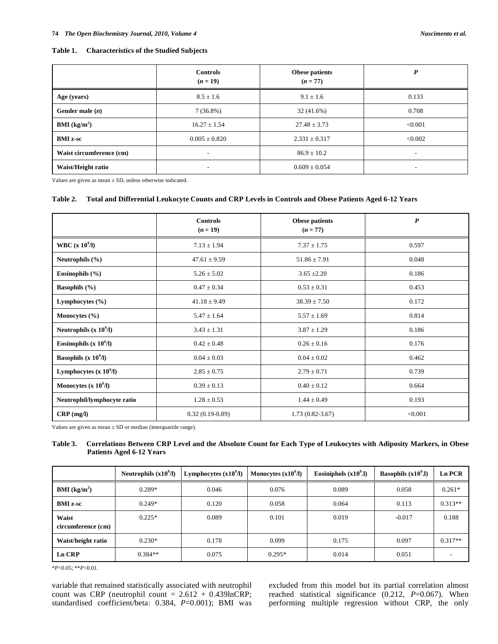# **Table 1. Characteristics of the Studied Subjects**

|                          | <b>Controls</b><br>$(n=19)$ | Obese patients<br>$(n = 77)$ |                          |
|--------------------------|-----------------------------|------------------------------|--------------------------|
| Age (years)              | $8.5 \pm 1.6$               | $9.1 \pm 1.6$                | 0.133                    |
| Gender male $(n)$        | $7(36.8\%)$                 | 32 (41.6%)                   | 0.708                    |
| <b>BMI</b> ( $kg/m2$ )   | $16.27 \pm 1.54$            | $27.48 \pm 3.73$             | < 0.001                  |
| <b>BMI</b> z-sc          | $0.005 \pm 0.820$           | $2.331 \pm 0.317$            | < 0.002                  |
| Waist circumference (cm) | $\overline{\phantom{a}}$    | $86.9 \pm 10.2$              | $\overline{\phantom{a}}$ |
| Waist/Height ratio       | $\overline{\phantom{a}}$    | $0.609 \pm 0.054$            | $\overline{\phantom{a}}$ |

Values are given as mean  $\pm$  SD, unless otherwise indicated.

## **Table 2. Total and Differential Leukocyte Counts and CRP Levels in Controls and Obese Patients Aged 6-12 Years**

|                               | <b>Controls</b><br>$(n = 19)$ | Obese patients<br>$(n = 77)$ | $\boldsymbol{P}$ |  |
|-------------------------------|-------------------------------|------------------------------|------------------|--|
| WBC $(x 10^9/1)$              | $7.13 \pm 1.94$               | $7.37 \pm 1.75$              | 0.597            |  |
| Neutrophils $(\% )$           | $47.61 \pm 9.59$              | $51.86 \pm 7.91$             | 0.048            |  |
| Eosinophils $(\% )$           | $5.26 \pm 5.02$               | $3.65 \pm 2.20$              | 0.186            |  |
| <b>Basophils</b> (%)          | $0.47 \pm 0.34$               | $0.53 \pm 0.31$              | 0.453            |  |
| Lymphocytes $(\% )$           | $41.18 \pm 9.49$              | $38.39 \pm 7.50$             | 0.172            |  |
| Monocytes $(\% )$             | $5.47 \pm 1.64$               | $5.57 \pm 1.69$              | 0.814            |  |
| Neutrophils $(x 10^9/1)$      | $3.43 \pm 1.31$               | $3.87 \pm 1.29$              | 0.186            |  |
| Eosinophils $(x 109/I)$       | $0.42 \pm 0.48$               | $0.26 \pm 0.16$<br>0.176     |                  |  |
| <b>Basophils</b> $(x 10^9/1)$ | $0.04 \pm 0.03$               | $0.04 \pm 0.02$<br>0.462     |                  |  |
| Lymphocytes $(x 109/I)$       | $2.85 \pm 0.75$               | $2.79 \pm 0.71$              | 0.739            |  |
| Monocytes $(x 109/I)$         | $0.39 \pm 0.13$               | $0.40 \pm 0.12$              | 0.664            |  |
| Neutrophil/lymphocyte ratio   | $1.28 \pm 0.53$               | $1.44 \pm 0.49$<br>0.193     |                  |  |
| $CRP$ (mg/l)                  | $0.32(0.19-0.89)$             | $1.73(0.82 - 3.67)$          | < 0.001          |  |

Values are given as mean  $\pm$  SD or median (interquartile range).

# **Table 3. Correlations Between CRP Level and the Absolute Count for Each Type of Leukocytes with Adiposity Markers, in Obese Patients Aged 6-12 Years**

|                             | Neutrophils $(x109/I)$ | Lymphocytes $(x109/I)$ | Monocytes $(x109/I)$ | Eosiniphols $(x109$ .I) | Basophils $(x109.I)$ | <b>Ln PCR</b>            |
|-----------------------------|------------------------|------------------------|----------------------|-------------------------|----------------------|--------------------------|
| <b>BMI</b> ( $kg/m2$ )      | 0.289*                 | 0.046                  | 0.076                | 0.089                   | 0.058                | $0.261*$                 |
| <b>BMI</b> z-sc             | $0.249*$               | 0.120                  | 0.058                | 0.064                   | 0.113                | $0.313**$                |
| Waist<br>circumference (cm) | $0.225*$               | 0.089                  | 0.101                | 0.019                   | $-0.017$             | 0.188                    |
| Waist/height ratio          | $0.230*$               | 0.178                  | 0.099                | 0.175                   | 0.097                | $0.317**$                |
| Ln CRP                      | $0.384**$              | 0.075                  | $0.295*$             | 0.014                   | 0.051                | $\overline{\phantom{a}}$ |

\**P*<0.05; \*\**P*<0.01.

variable that remained statistically associated with neutrophil count was CRP (neutrophil count =  $2.612 + 0.439$ lnCRP; standardised coefficient/beta: 0.384, *P*=0.001); BMI was excluded from this model but its partial correlation almost reached statistical significance (0.212, *P*=0.067). When performing multiple regression without CRP, the only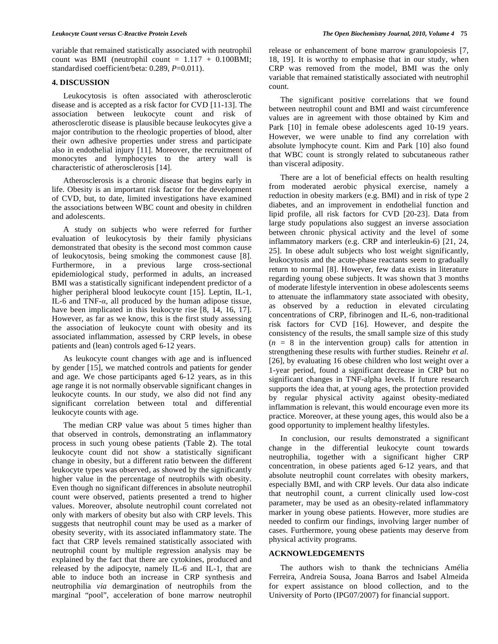variable that remained statistically associated with neutrophil count was BMI (neutrophil count  $= 1.117 + 0.100$ BMI; standardised coefficient/beta: 0.289, *P*=0.011).

#### **4. DISCUSSION**

 Leukocytosis is often associated with atherosclerotic disease and is accepted as a risk factor for CVD [11-13]. The association between leukocyte count and risk of atherosclerotic disease is plausible because leukocytes give a major contribution to the rheologic properties of blood, alter their own adhesive properties under stress and participate also in endothelial injury [11]. Moreover, the recruitment of monocytes and lymphocytes to the artery wall is characteristic of atherosclerosis [14].

 Atherosclerosis is a chronic disease that begins early in life. Obesity is an important risk factor for the development of CVD, but, to date, limited investigations have examined the associations between WBC count and obesity in children and adolescents.

 A study on subjects who were referred for further evaluation of leukocytosis by their family physicians demonstrated that obesity is the second most common cause of leukocytosis, being smoking the commonest cause [8]. Furthermore, in a previous large cross-sectional epidemiological study, performed in adults, an increased BMI was a statistically significant independent predictor of a higher peripheral blood leukocyte count [15]. Leptin, IL-1, IL-6 and TNF- $\alpha$ , all produced by the human adipose tissue, have been implicated in this leukocyte rise [8, 14, 16, 17]. However, as far as we know, this is the first study assessing the association of leukocyte count with obesity and its associated inflammation, assessed by CRP levels, in obese patients and (lean) controls aged 6-12 years.

 As leukocyte count changes with age and is influenced by gender [15], we matched controls and patients for gender and age. We chose participants aged 6-12 years, as in this age range it is not normally observable significant changes in leukocyte counts. In our study, we also did not find any significant correlation between total and differential leukocyte counts with age.

 The median CRP value was about 5 times higher than that observed in controls, demonstrating an inflammatory process in such young obese patients (Table **2**). The total leukocyte count did not show a statistically significant change in obesity, but a different ratio between the different leukocyte types was observed, as showed by the significantly higher value in the percentage of neutrophils with obesity. Even though no significant differences in absolute neutrophil count were observed, patients presented a trend to higher values. Moreover, absolute neutrophil count correlated not only with markers of obesity but also with CRP levels. This suggests that neutrophil count may be used as a marker of obesity severity, with its associated inflammatory state. The fact that CRP levels remained statistically associated with neutrophil count by multiple regression analysis may be explained by the fact that there are cytokines, produced and released by the adipocyte, namely IL-6 and IL-1, that are able to induce both an increase in CRP synthesis and neutrophilia *via* demargination of neutrophils from the marginal "pool", acceleration of bone marrow neutrophil

release or enhancement of bone marrow granulopoiesis [7, 18, 19]. It is worthy to emphasise that in our study, when CRP was removed from the model, BMI was the only variable that remained statistically associated with neutrophil count.

 The significant positive correlations that we found between neutrophil count and BMI and waist circumference values are in agreement with those obtained by Kim and Park [10] in female obese adolescents aged 10-19 years. However, we were unable to find any correlation with absolute lymphocyte count. Kim and Park [10] also found that WBC count is strongly related to subcutaneous rather than visceral adiposity.

 There are a lot of beneficial effects on health resulting from moderated aerobic physical exercise, namely a reduction in obesity markers (e.g. BMI) and in risk of type 2 diabetes, and an improvement in endothelial function and lipid profile, all risk factors for CVD [20-23]. Data from large study populations also suggest an inverse association between chronic physical activity and the level of some inflammatory markers (e.g. CRP and interleukin-6) [21, 24, 25]. In obese adult subjects who lost weight significantly, leukocytosis and the acute-phase reactants seem to gradually return to normal [8]. However, few data exists in literature regarding young obese subjects. It was shown that 3 months of moderate lifestyle intervention in obese adolescents seems to attenuate the inflammatory state associated with obesity, as observed by a reduction in elevated circulating concentrations of CRP, fibrinogen and IL-6, non-traditional risk factors for CVD [16]. However, and despite the consistency of the results, the small sample size of this study  $(n = 8$  in the intervention group) calls for attention in strengthening these results with further studies. Reinehr *et al.* [26], by evaluating 16 obese children who lost weight over a 1-year period, found a significant decrease in CRP but no significant changes in TNF-alpha levels. If future research supports the idea that, at young ages, the protection provided by regular physical activity against obesity-mediated inflammation is relevant, this would encourage even more its practice. Moreover, at these young ages, this would also be a good opportunity to implement healthy lifestyles.

 In conclusion, our results demonstrated a significant change in the differential leukocyte count towards neutrophilia, together with a significant higher CRP concentration, in obese patients aged 6-12 years, and that absolute neutrophil count correlates with obesity markers, especially BMI, and with CRP levels. Our data also indicate that neutrophil count, a current clinically used low-cost parameter, may be used as an obesity-related inflammatory marker in young obese patients. However, more studies are needed to confirm our findings, involving larger number of cases. Furthermore, young obese patients may deserve from physical activity programs.

# **ACKNOWLEDGEMENTS**

 The authors wish to thank the technicians Amélia Ferreira, Andreia Sousa, Joana Barros and Isabel Almeida for expert assistance on blood collection, and to the University of Porto (IPG07/2007) for financial support.